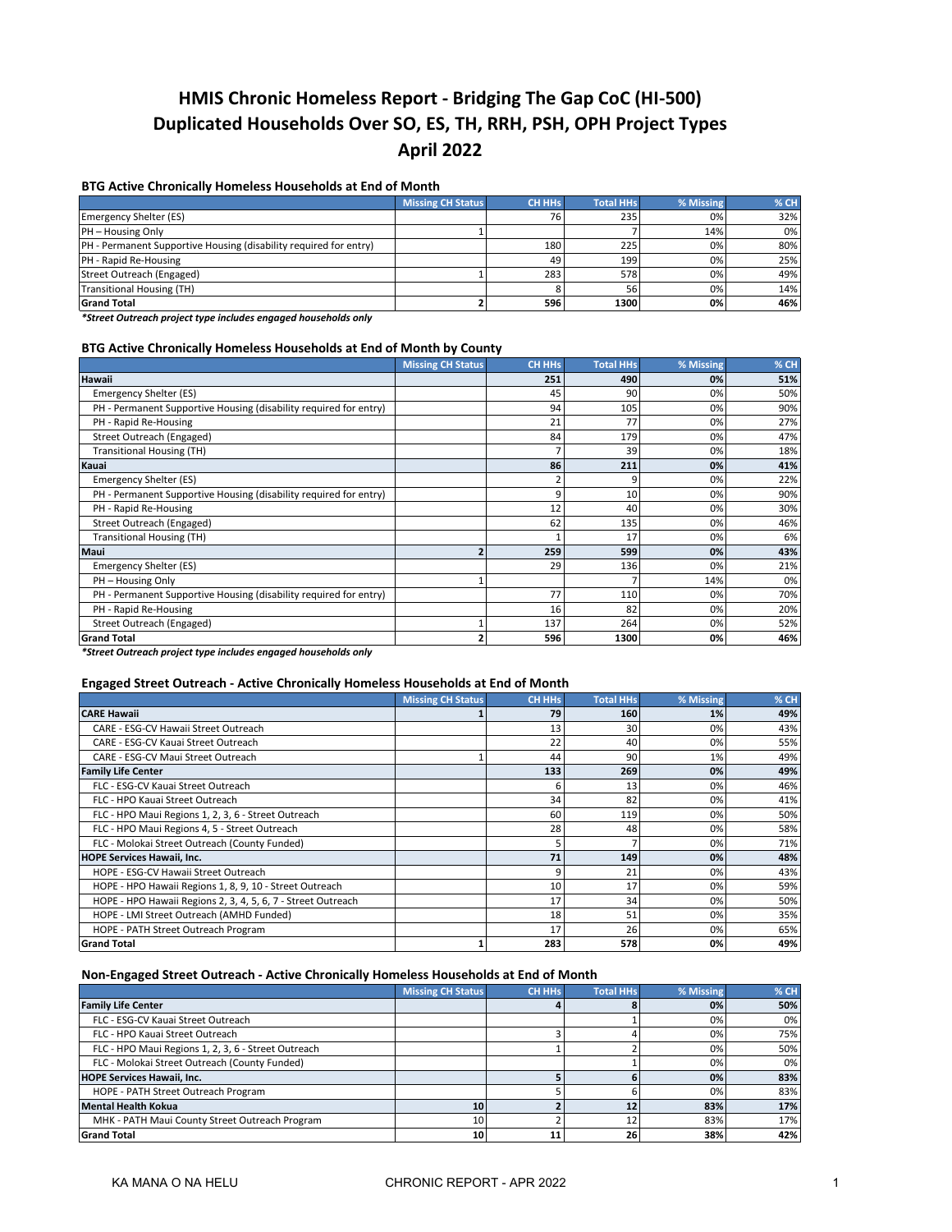# **HMIS Chronic Homeless Report - Bridging The Gap CoC (HI-500) Duplicated Households Over SO, ES, TH, RRH, PSH, OPH Project Types April 2022**

## **BTG Active Chronically Homeless Households at End of Month**

|                                                                   | <b>Missing CH Status</b> | CH HHs | <b>Total HHs</b> | % Missing | $%$ CH |
|-------------------------------------------------------------------|--------------------------|--------|------------------|-----------|--------|
| Emergency Shelter (ES)                                            |                          | 76     | 235              | 0%        | 32%    |
| PH - Housing Only                                                 |                          |        |                  | 14%       | 0%     |
| PH - Permanent Supportive Housing (disability required for entry) |                          | 180    | 225              | 0%        | 80%    |
| PH - Rapid Re-Housing                                             |                          | 49     | 199              | 0%        | 25%    |
| Street Outreach (Engaged)                                         |                          | 283    | 578              | 0%        | 49%    |
| <b>Transitional Housing (TH)</b>                                  |                          |        | 56               | 0%        | 14%    |
| <b>Grand Total</b>                                                |                          | 596    | 1300             | 0%        | 46%    |

*\*Street Outreach project type includes engaged households only*

#### **BTG Active Chronically Homeless Households at End of Month by County**

|                                                                   | <b>Missing CH Status</b> | <b>CH HHs</b> | <b>Total HHs</b> | % Missing | % CH |
|-------------------------------------------------------------------|--------------------------|---------------|------------------|-----------|------|
| <b>Hawaii</b>                                                     |                          | 251           | 490              | 0%        | 51%  |
| Emergency Shelter (ES)                                            |                          | 45            | 90               | 0%        | 50%  |
| PH - Permanent Supportive Housing (disability required for entry) |                          | 94            | 105              | 0%        | 90%  |
| PH - Rapid Re-Housing                                             |                          | 21            | 77               | 0%        | 27%  |
| Street Outreach (Engaged)                                         |                          | 84            | 179              | 0%        | 47%  |
| <b>Transitional Housing (TH)</b>                                  |                          |               | 39               | 0%        | 18%  |
| Kauai                                                             |                          | 86            | 211              | 0%        | 41%  |
| Emergency Shelter (ES)                                            |                          |               |                  | 0%        | 22%  |
| PH - Permanent Supportive Housing (disability required for entry) |                          | 9             | 10               | 0%        | 90%  |
| PH - Rapid Re-Housing                                             |                          | 12            | 40               | 0%        | 30%  |
| Street Outreach (Engaged)                                         |                          | 62            | 135              | 0%        | 46%  |
| <b>Transitional Housing (TH)</b>                                  |                          |               | 17               | 0%        | 6%   |
| Maui                                                              | $\overline{2}$           | 259           | 599              | 0%        | 43%  |
| Emergency Shelter (ES)                                            |                          | 29            | 136              | 0%        | 21%  |
| PH - Housing Only                                                 |                          |               |                  | 14%       | 0%   |
| PH - Permanent Supportive Housing (disability required for entry) |                          | 77            | 110              | 0%        | 70%  |
| PH - Rapid Re-Housing                                             |                          | 16            | 82               | 0%        | 20%  |
| Street Outreach (Engaged)                                         |                          | 137           | 264              | 0%        | 52%  |
| <b>Grand Total</b>                                                | 2                        | 596           | 1300             | 0%        | 46%  |

*\*Street Outreach project type includes engaged households only*

# **Engaged Street Outreach - Active Chronically Homeless Households at End of Month**

|                                                              | <b>Missing CH Status</b> | <b>CH HHs</b> | <b>Total HHs</b> | % Missing | % CH |
|--------------------------------------------------------------|--------------------------|---------------|------------------|-----------|------|
| <b>CARE Hawaii</b>                                           |                          | 79            | 160              | 1%        | 49%  |
| CARE - ESG-CV Hawaii Street Outreach                         |                          | 13            | 30               | 0%        | 43%  |
| CARE - ESG-CV Kauai Street Outreach                          |                          | 22            | 40               | 0%        | 55%  |
| CARE - ESG-CV Maui Street Outreach                           |                          | 44            | 90               | 1%        | 49%  |
| <b>Family Life Center</b>                                    |                          | 133           | 269              | 0%        | 49%  |
| FLC - ESG-CV Kauai Street Outreach                           |                          | 6             | 13               | 0%        | 46%  |
| FLC - HPO Kauai Street Outreach                              |                          | 34            | 82               | 0%        | 41%  |
| FLC - HPO Maui Regions 1, 2, 3, 6 - Street Outreach          |                          | 60            | 119              | 0%        | 50%  |
| FLC - HPO Maui Regions 4, 5 - Street Outreach                |                          | 28            | 48               | 0%        | 58%  |
| FLC - Molokai Street Outreach (County Funded)                |                          | 5             |                  | 0%        | 71%  |
| <b>HOPE Services Hawaii, Inc.</b>                            |                          | 71            | 149              | 0%        | 48%  |
| HOPE - ESG-CV Hawaii Street Outreach                         |                          | 9             | 21               | 0%        | 43%  |
| HOPE - HPO Hawaii Regions 1, 8, 9, 10 - Street Outreach      |                          | 10            | 17               | 0%        | 59%  |
| HOPE - HPO Hawaii Regions 2, 3, 4, 5, 6, 7 - Street Outreach |                          | 17            | 34               | 0%        | 50%  |
| HOPE - LMI Street Outreach (AMHD Funded)                     |                          | 18            | 51               | 0%        | 35%  |
| HOPE - PATH Street Outreach Program                          |                          | 17            | 26               | 0%        | 65%  |
| <b>Grand Total</b>                                           | 1                        | 283           | 578              | 0%        | 49%  |

## **Non-Engaged Street Outreach - Active Chronically Homeless Households at End of Month**

|                                                     | <b>Missing CH Status</b> | <b>CH HHs</b> | <b>Total HHs</b> | % Missing | % CH |
|-----------------------------------------------------|--------------------------|---------------|------------------|-----------|------|
| <b>Family Life Center</b>                           |                          |               |                  | 0%        | 50%  |
| FLC - ESG-CV Kauai Street Outreach                  |                          |               |                  | 0%        | 0%   |
| FLC - HPO Kauai Street Outreach                     |                          |               |                  | 0%        | 75%  |
| FLC - HPO Maui Regions 1, 2, 3, 6 - Street Outreach |                          |               |                  | 0%        | 50%  |
| FLC - Molokai Street Outreach (County Funded)       |                          |               |                  | 0%        | 0%   |
| <b>HOPE Services Hawaii, Inc.</b>                   |                          |               |                  | 0%        | 83%  |
| HOPE - PATH Street Outreach Program                 |                          |               |                  | 0%        | 83%  |
| <b>Mental Health Kokua</b>                          | 10                       |               | 12               | 83%       | 17%  |
| MHK - PATH Maui County Street Outreach Program      | 10                       |               | 12               | 83%       | 17%  |
| <b>Grand Total</b>                                  | 10                       | 11            | 26               | 38%       | 42%  |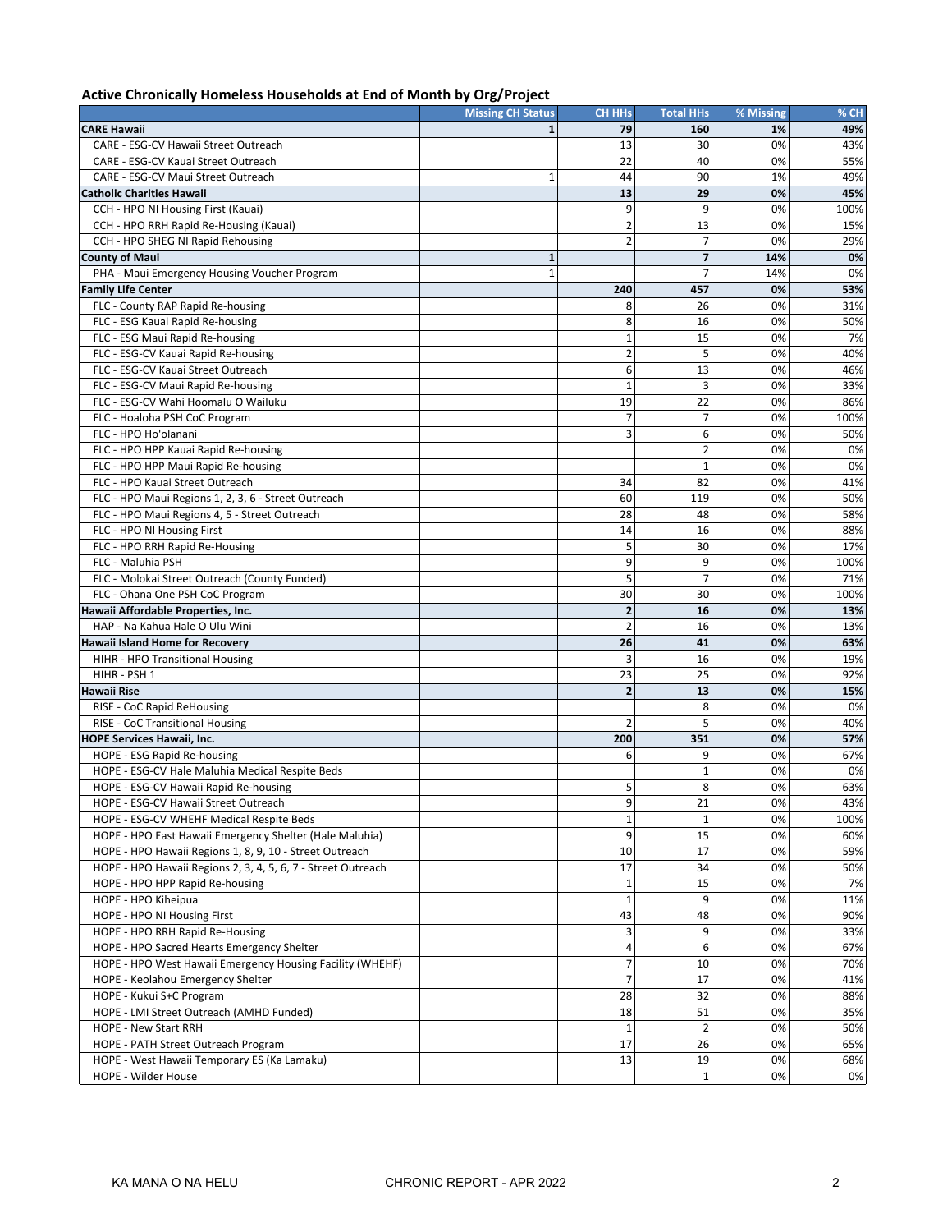| Active Chronically Homeless Households at End of Month by Org/Project |  |
|-----------------------------------------------------------------------|--|
|-----------------------------------------------------------------------|--|

|                                                              | <b>Missing CH Status</b> | <b>CH HHs</b>           | <b>Total HHs</b> | % Missing | % CH |
|--------------------------------------------------------------|--------------------------|-------------------------|------------------|-----------|------|
| <b>CARE Hawaii</b>                                           |                          | 79                      | 160              | 1%        | 49%  |
| CARE - ESG-CV Hawaii Street Outreach                         |                          | 13                      | 30               | 0%        | 43%  |
| CARE - ESG-CV Kauai Street Outreach                          |                          | 22                      | 40               | 0%        | 55%  |
| CARE - ESG-CV Maui Street Outreach                           | $\mathbf{1}$             | 44                      | 90               | 1%        | 49%  |
| <b>Catholic Charities Hawaii</b>                             |                          | 13                      | 29               | 0%        | 45%  |
| CCH - HPO NI Housing First (Kauai)                           |                          | 9                       | 9                | 0%        | 100% |
| CCH - HPO RRH Rapid Re-Housing (Kauai)                       |                          | $\overline{2}$          | 13               | 0%        | 15%  |
| CCH - HPO SHEG NI Rapid Rehousing                            |                          | $\overline{2}$          | 7                | 0%        | 29%  |
| <b>County of Maui</b>                                        | $\mathbf{1}$             |                         | 7                | 14%       | 0%   |
| PHA - Maui Emergency Housing Voucher Program                 | 1                        |                         | 7                | 14%       | 0%   |
| <b>Family Life Center</b>                                    |                          | 240                     | 457              | 0%        | 53%  |
| FLC - County RAP Rapid Re-housing                            |                          | 8                       | 26               | 0%        | 31%  |
| FLC - ESG Kauai Rapid Re-housing                             |                          | 8                       | 16               | 0%        | 50%  |
| FLC - ESG Maui Rapid Re-housing                              |                          | $1\,$                   | 15               | 0%        | 7%   |
| FLC - ESG-CV Kauai Rapid Re-housing                          |                          | $\overline{2}$          | 5                | 0%        | 40%  |
| FLC - ESG-CV Kauai Street Outreach                           |                          | 6                       | 13               | 0%        | 46%  |
| FLC - ESG-CV Maui Rapid Re-housing                           |                          | $\mathbf{1}$            | 3                | 0%        | 33%  |
| FLC - ESG-CV Wahi Hoomalu O Wailuku                          |                          | 19                      | 22               | 0%        | 86%  |
| FLC - Hoaloha PSH CoC Program                                |                          | $\overline{7}$          | 7                | 0%        | 100% |
| FLC - HPO Ho'olanani                                         |                          | 3                       | 6                | 0%        | 50%  |
| FLC - HPO HPP Kauai Rapid Re-housing                         |                          |                         | $\overline{2}$   | 0%        | 0%   |
| FLC - HPO HPP Maui Rapid Re-housing                          |                          |                         | $\mathbf{1}$     | 0%        | 0%   |
| FLC - HPO Kauai Street Outreach                              |                          | 34                      | 82               | 0%        | 41%  |
| FLC - HPO Maui Regions 1, 2, 3, 6 - Street Outreach          |                          | 60                      | 119              | 0%        | 50%  |
| FLC - HPO Maui Regions 4, 5 - Street Outreach                |                          | 28                      | 48               | 0%        | 58%  |
| FLC - HPO NI Housing First                                   |                          | 14                      | 16               | 0%        | 88%  |
| FLC - HPO RRH Rapid Re-Housing                               |                          | 5                       | 30               | 0%        | 17%  |
| FLC - Maluhia PSH                                            |                          | 9                       | 9                | 0%        | 100% |
| FLC - Molokai Street Outreach (County Funded)                |                          | 5                       | $\overline{7}$   | 0%        | 71%  |
| FLC - Ohana One PSH CoC Program                              |                          | 30                      | 30               | 0%        | 100% |
| Hawaii Affordable Properties, Inc.                           |                          | $\overline{\mathbf{2}}$ | 16               | 0%        | 13%  |
| HAP - Na Kahua Hale O Ulu Wini                               |                          | $\overline{2}$          | 16               | 0%        | 13%  |
| Hawaii Island Home for Recovery                              |                          | 26                      | 41               | 0%        | 63%  |
| HIHR - HPO Transitional Housing                              |                          | 3                       | 16               | 0%        | 19%  |
| HIHR - PSH 1                                                 |                          | 23                      | 25               | 0%        | 92%  |
| <b>Hawaii Rise</b>                                           |                          | $\overline{2}$          | 13               | 0%        | 15%  |
| RISE - CoC Rapid ReHousing                                   |                          |                         | 8                | 0%        | 0%   |
| RISE - CoC Transitional Housing                              |                          | $\overline{2}$          | 5                | 0%        | 40%  |
| <b>HOPE Services Hawaii, Inc.</b>                            |                          | 200                     | 351              | 0%        | 57%  |
| HOPE - ESG Rapid Re-housing                                  |                          | 6                       | 9                | 0%        | 67%  |
| HOPE - ESG-CV Hale Maluhia Medical Respite Beds              |                          |                         | $\mathbf{1}$     | 0%        | 0%   |
| HOPE - ESG-CV Hawaii Rapid Re-housing                        |                          | 5                       | 8                | 0%        | 63%  |
| HOPE - ESG-CV Hawaii Street Outreach                         |                          | 9                       | 21               | 0%        | 43%  |
| HOPE - ESG-CV WHEHF Medical Respite Beds                     |                          | $\mathbf{1}$            | $\mathbf{1}$     | 0%        | 100% |
| HOPE - HPO East Hawaii Emergency Shelter (Hale Maluhia)      |                          | 9                       | 15               | 0%        | 60%  |
| HOPE - HPO Hawaii Regions 1, 8, 9, 10 - Street Outreach      |                          | 10                      | 17               | 0%        | 59%  |
| HOPE - HPO Hawaii Regions 2, 3, 4, 5, 6, 7 - Street Outreach |                          | 17                      | 34               | 0%        | 50%  |
| HOPE - HPO HPP Rapid Re-housing                              |                          | $\mathbf 1$             | 15               | 0%        | 7%   |
| HOPE - HPO Kiheipua                                          |                          | $\mathbf 1$             | 9                | 0%        | 11%  |
| HOPE - HPO NI Housing First                                  |                          | 43                      | 48               | 0%        | 90%  |
| HOPE - HPO RRH Rapid Re-Housing                              |                          | 3                       | 9                | 0%        | 33%  |
| HOPE - HPO Sacred Hearts Emergency Shelter                   |                          | 4                       | 6                | 0%        | 67%  |
| HOPE - HPO West Hawaii Emergency Housing Facility (WHEHF)    |                          | $\overline{7}$          | 10               | 0%        | 70%  |
| HOPE - Keolahou Emergency Shelter                            |                          | $\overline{7}$          | 17               | 0%        | 41%  |
| HOPE - Kukui S+C Program                                     |                          | 28                      | 32               | 0%        | 88%  |
| HOPE - LMI Street Outreach (AMHD Funded)                     |                          | 18                      | 51               | 0%        | 35%  |
| HOPE - New Start RRH                                         |                          | $\mathbf{1}$            | $\overline{2}$   | 0%        | 50%  |
| HOPE - PATH Street Outreach Program                          |                          | 17                      | 26               | 0%        | 65%  |
| HOPE - West Hawaii Temporary ES (Ka Lamaku)                  |                          | 13                      | 19               | 0%        | 68%  |
| HOPE - Wilder House                                          |                          |                         | 1                | 0%        | 0%   |